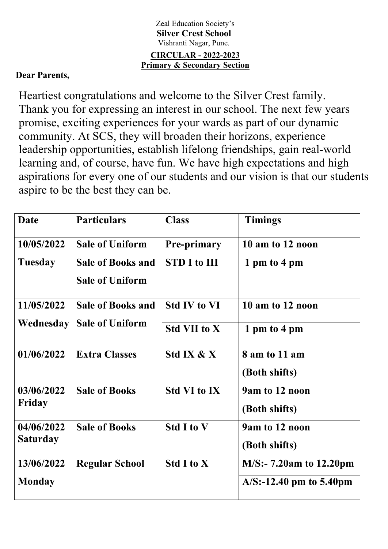## Zeal Education Society's **Silver Crest School** Vishranti Nagar, Pune. **CIRCULAR - 2022-2023 Primary & Secondary Section**

## **Dear Parents,**

Heartiest congratulations and welcome to the Silver Crest family. Thank you for expressing an interest in our school. The next few years promise, exciting experiences for your wards as part of our dynamic community. At SCS, they will broaden their horizons, experience leadership opportunities, establish lifelong friendships, gain real-world learning and, of course, have fun. We have high expectations and high aspirations for every one of our students and our vision is that our students aspire to be the best they can be.

| <b>Date</b>                   | <b>Particulars</b>                                 | <b>Class</b>        | <b>Timings</b>                  |
|-------------------------------|----------------------------------------------------|---------------------|---------------------------------|
| 10/05/2022                    | <b>Sale of Uniform</b>                             | <b>Pre-primary</b>  | 10 am to 12 noon                |
| <b>Tuesday</b>                | <b>Sale of Books and</b><br><b>Sale of Uniform</b> | <b>STD I to III</b> | 1 pm to 4 pm                    |
| 11/05/2022                    | <b>Sale of Books and</b>                           | <b>Std IV to VI</b> | 10 am to 12 noon                |
| Wednesday                     | <b>Sale of Uniform</b>                             | <b>Std VII to X</b> | 1 pm to 4 pm                    |
| 01/06/2022                    | <b>Extra Classes</b>                               | Std IX & X          | 8 am to 11 am<br>(Both shifts)  |
| 03/06/2022<br>Friday          | <b>Sale of Books</b>                               | <b>Std VI to IX</b> | 9am to 12 noon<br>(Both shifts) |
| 04/06/2022<br><b>Saturday</b> | <b>Sale of Books</b>                               | <b>Std I to V</b>   | 9am to 12 noon<br>(Both shifts) |
| 13/06/2022                    | <b>Regular School</b>                              | <b>Std I to X</b>   | $M/S: -7.20am$ to 12.20pm       |
| <b>Monday</b>                 |                                                    |                     | $A/S$ :-12.40 pm to 5.40pm      |